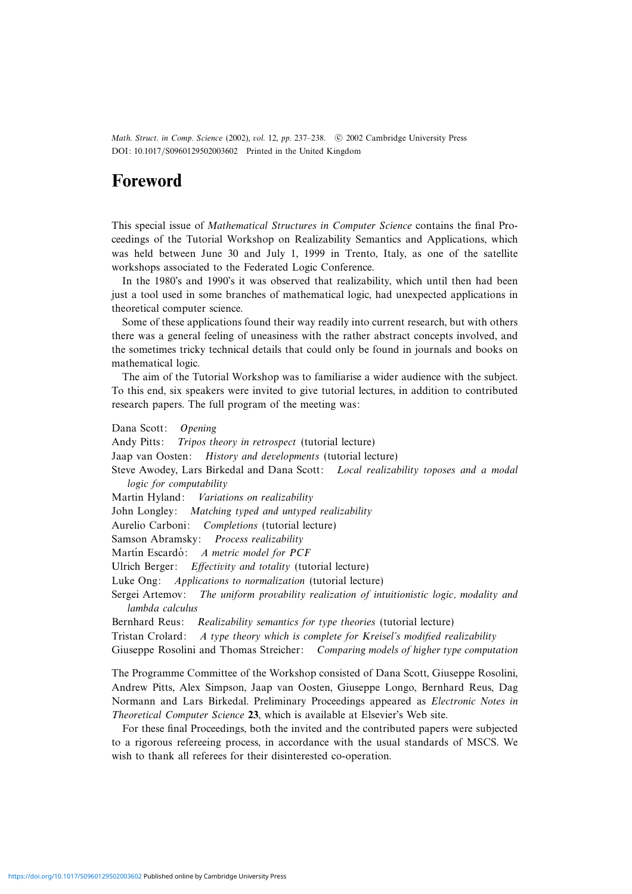Math. Struct. in Comp. Science (2002), vol. 12, pp. 237-238. © 2002 Cambridge University Press DOI: 10.1017/S0960129502003602 Printed in the United Kingdom

## **Foreword**

This special issue of Mathematical Structures in Computer Science contains the final Proceedings of the Tutorial Workshop on Realizability Semantics and Applications, which was held between June 30 and July 1, 1999 in Trento, Italy, as one of the satellite workshops associated to the Federated Logic Conference.

In the 1980's and 1990's it was observed that realizability, which until then had been just a tool used in some branches of mathematical logic, had unexpected applications in theoretical computer science.

Some of these applications found their way readily into current research, but with others there was a general feeling of uneasiness with the rather abstract concepts involved, and the sometimes tricky technical details that could only be found in journals and books on mathematical logic.

The aim of the Tutorial Workshop was to familiarise a wider audience with the subject. To this end, six speakers were invited to give tutorial lectures, in addition to contributed research papers. The full program of the meeting was:

Dana Scott: Opening Andy Pitts: Tripos theory in retrospect (tutorial lecture) Jaap van Oosten: History and developments (tutorial lecture) Steve Awodey, Lars Birkedal and Dana Scott: Local realizability toposes and a modal logic for computability Martin Hyland: Variations on realizability John Longley: Matching typed and untyped realizability Aurelio Carboni: Completions (tutorial lecture) Samson Abramsky: Process realizability Martín Escardó: A metric model for PCF Ulrich Berger: Effectivity and totality (tutorial lecture) Luke Ong: Applications to normalization (tutorial lecture) Sergei Artemov: The uniform provability realization of intuitionistic logic, modality and lambda calculus Bernhard Reus: Realizability semantics for type theories (tutorial lecture) Tristan Crolard: A type theory which is complete for Kreisel's modified realizability Giuseppe Rosolini and Thomas Streicher: Comparing models of higher type computation

The Programme Committee of the Workshop consisted of Dana Scott, Giuseppe Rosolini, Andrew Pitts, Alex Simpson, Jaap van Oosten, Giuseppe Longo, Bernhard Reus, Dag Normann and Lars Birkedal. Preliminary Proceedings appeared as Electronic Notes in Theoretical Computer Science **23**, which is available at Elsevier's Web site.

For these final Proceedings, both the invited and the contributed papers were subjected to a rigorous refereeing process, in accordance with the usual standards of MSCS. We wish to thank all referees for their disinterested co-operation.